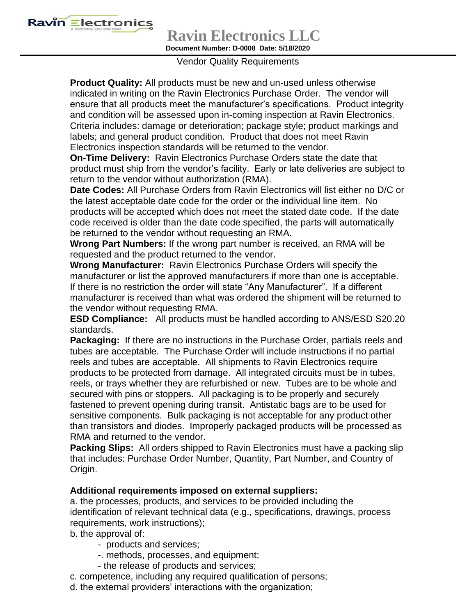

**Ravin Electronics LLC**

**Document Number: D-0008 Date: 5/18/2020**

## Vendor Quality Requirements

**Product Quality:** All products must be new and un-used unless otherwise indicated in writing on the Ravin Electronics Purchase Order. The vendor will ensure that all products meet the manufacturer's specifications. Product integrity and condition will be assessed upon in-coming inspection at Ravin Electronics. Criteria includes: damage or deterioration; package style; product markings and labels; and general product condition. Product that does not meet Ravin Electronics inspection standards will be returned to the vendor.

**On-Time Delivery:** Ravin Electronics Purchase Orders state the date that product must ship from the vendor's facility. Early or late deliveries are subject to return to the vendor without authorization (RMA).

**Date Codes:** All Purchase Orders from Ravin Electronics will list either no D/C or the latest acceptable date code for the order or the individual line item. No products will be accepted which does not meet the stated date code. If the date code received is older than the date code specified, the parts will automatically be returned to the vendor without requesting an RMA.

**Wrong Part Numbers:** If the wrong part number is received, an RMA will be requested and the product returned to the vendor.

**Wrong Manufacturer:** Ravin Electronics Purchase Orders will specify the manufacturer or list the approved manufacturers if more than one is acceptable. If there is no restriction the order will state "Any Manufacturer". If a different manufacturer is received than what was ordered the shipment will be returned to the vendor without requesting RMA.

**ESD Compliance:** All products must be handled according to ANS/ESD S20.20 standards.

**Packaging:** If there are no instructions in the Purchase Order, partials reels and tubes are acceptable. The Purchase Order will include instructions if no partial reels and tubes are acceptable. All shipments to Ravin Electronics require products to be protected from damage. All integrated circuits must be in tubes, reels, or trays whether they are refurbished or new. Tubes are to be whole and secured with pins or stoppers. All packaging is to be properly and securely fastened to prevent opening during transit. Antistatic bags are to be used for sensitive components. Bulk packaging is not acceptable for any product other than transistors and diodes. Improperly packaged products will be processed as RMA and returned to the vendor.

**Packing Slips:** All orders shipped to Ravin Electronics must have a packing slip that includes: Purchase Order Number, Quantity, Part Number, and Country of Origin.

## **Additional requirements imposed on external suppliers:**

a. the processes, products, and services to be provided including the identification of relevant technical data (e.g., specifications, drawings, process requirements, work instructions);

b. the approval of:

- products and services;
- -. methods, processes, and equipment;
- the release of products and services;
- c. competence, including any required qualification of persons;
- d. the external providers' interactions with the organization;